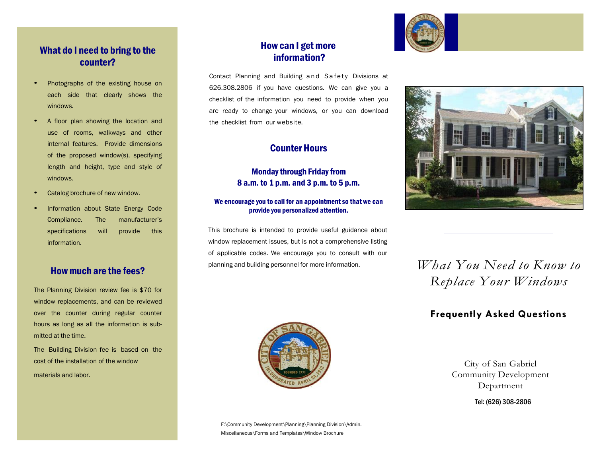# What do I need to bring to the counter?

- Photographs of the existing house on each side that clearly shows the windows.
- <sup>A</sup> floor plan showing the location and use of rooms, walkways and other internal features. Provide dimensions of the proposed window(s), specifying length and height, type and style of windows.
- Catalog brochure of new window.
- Information about State Energy Code Compliance. The manufacturer's specifications will provide this information.

# Howmuch are the fees?

The Planning Division review fee is \$70 for window replacements, and can be reviewed over the counter during regular counter hours as long as all the information is submitted at the time.

The Building Division fee is based on the cost of the installation of the window materials and labor.

# How can I getmore information?

Contact Planning and Building and Safety Divisions at 626.308.2806 if you have questions. We can give you a checklist of the information you need to provide when you are ready to change your windows, or you can download the checklist from our website.

# CounterHours

### **Monday through Friday from** 8 a.m. to 1 p.m. and 3 p.m. to 5 p.m.

#### We encourage you to call for an appointment so that we can provide you personalized attention.

This brochure is intended to provide useful guidance about window replacement issues, but is not a comprehensive listing of applicable codes. We encourage you to consult with our planning and building personnel for more information. *What You Need to Know to* 





# *Replace Your Windows*

# **Frequently Asked Questions**



Community Development Department

Tel: (626) 308-2806

City of San Gabriel

F:\Community Development\Planning\Planning Division\Admin. Miscellaneous\Forms and Templates\Window Brochure